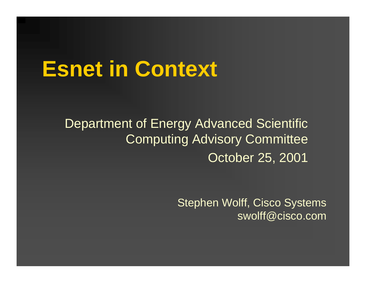# **Esnet in Context**

Department of Energy Advanced Scientific Computing Advisory Committee October 25, 2001

> Stephen Wolff, Cisco Systems swolff@cisco.com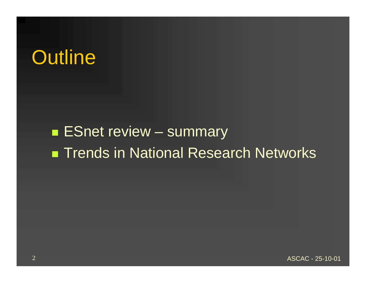# **Outline**

#### **ESnet review – summary** ■ Trends in National Research Networks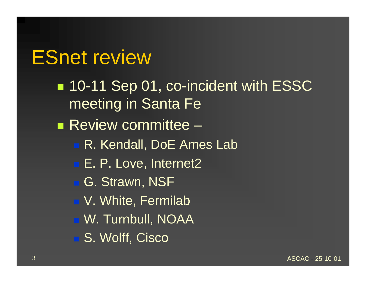#### ESnet review

■ 10-11 Sep 01, co-incident with ESSC meeting in Santa Fe **Review committee –** ■ R. Kendall, DoE Ames Lab ■ E. P. Love, Internet2 ■ G. Strawn, NSF ■ V. White, Fermilab ■ W. Turnbull, NOAA S. Wolff, Cisco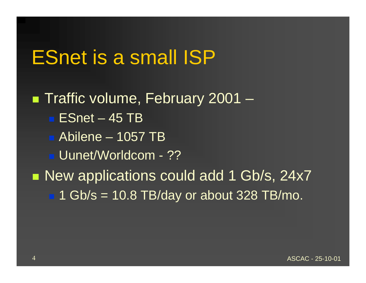#### ESnet is a small ISP

■ Traffic volume, February 2001 - $\blacksquare$  ESnet – 45 TB Abilene – 1057 TB Uunet/Worldcom - ?? ■ New applications could add 1 Gb/s, 24x7  $\blacksquare$  1 Gb/s = 10.8 TB/day or about 328 TB/mo.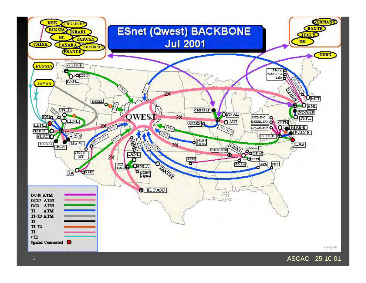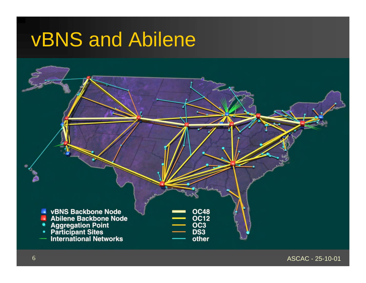# vBNS and Abilene



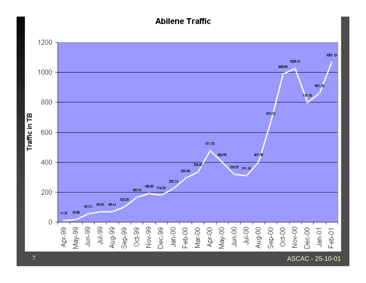#### **Abilene Traffic**



ASCAC - 25-10-01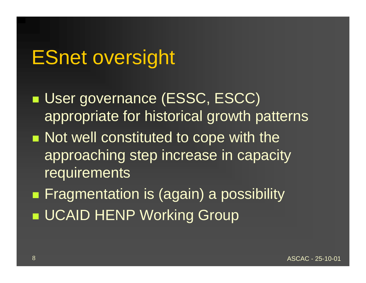### ESnet oversight

- ■ User governance (ESSC, ESCC) appropriate for historical growth patterns **Not well constituted to cope with the** approaching step increase in capacity requirements
- **Fragmentation is (again) a possibility UCAID HENP Working Group**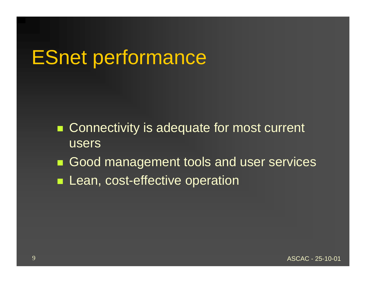# ESnet performance

- Connectivity is adequate for most current users
- $\blacksquare$ Good management tools and user services
- $\blacksquare$ Lean, cost-effective operation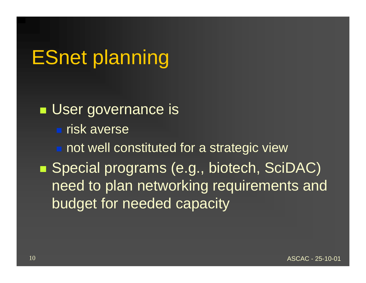# ESnet planning

**User governance is Fisk averse**  not well constituted for a strategic view ■ Special programs (e.g., biotech, SciDAC) need to plan networking requirements and budget for needed capacity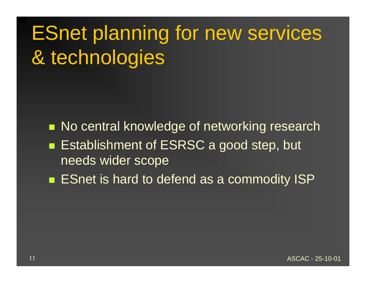# ESnet planning for new services & technologies

**No central knowledge of networking research** ■ Establishment of ESRSC a good step, but needs wider scope

■ ESnet is hard to defend as a commodity ISP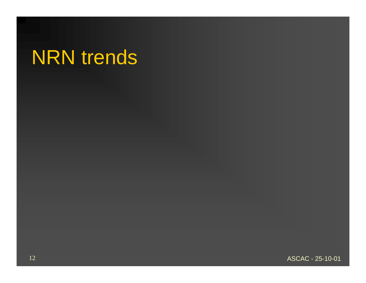# NRN trends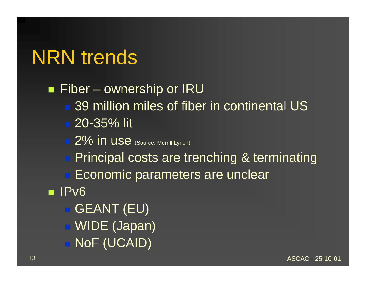# NRN trends

■ Fiber – ownership or IRU ■ 39 million miles of fiber in continental US ■ 20-35% lit **2% in use** (Source: Merrill Lynch) **Principal costs are trenching & terminating Economic parameters are unclear** ■ IPv6 **• GEANT (EU)**  WIDE (Japan) ■ NoF (UCAID)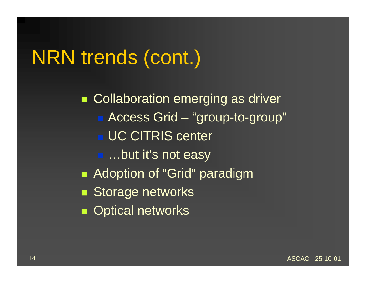# NRN trends (cont.)

**Collaboration emerging as driver** ■ Access Grid – "group-to-group" UC CITRIS center ■ …but it's not easy **Adoption of "Grid" paradigm Storage networks Optical networks** 

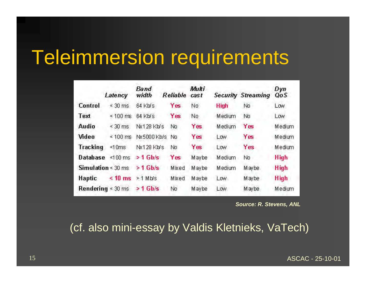### Teleimmersion requirements

|                               | Latency                        | Band<br>width     | Reliable   | Multi<br>cast |             | <b>Security Streaming</b> | Dyn<br>QoS  |
|-------------------------------|--------------------------------|-------------------|------------|---------------|-------------|---------------------------|-------------|
| Control                       | 30 ms<br>ż,                    | $64$ Kb/s         | Yes        | No            | <b>High</b> | No                        | Low         |
| Text                          | $100 \text{ ms}$<br>$\leq$     | 64 Kb/s           | Yes        | No.           | Medium      | No                        | Low         |
| Audio                         | $\leq$ 30 ms                   | <b>Nx128 Kb/s</b> | No         | Yes           | Medium      | Yes                       | Medium      |
| Video                         | $\approx$ 100 ms               | Nx5000 Kb/s       | No         | Yes           | Low         | <b>Yes</b>                | Medium      |
| <b>Tracking</b>               | ≤10ms                          | Nx128 Kb/s        | No.        | Yes           | Low         | Yes                       | Medium      |
| <b>Database</b>               | $< 100$ ms.                    | $> 1$ Gb/s        | <b>Yes</b> | Maybe         | Medium      | No                        | High        |
|                               | <b>Simulation</b> $\leq 30$ ms | $>1$ Gb/s         | Mixed      | Maybe         | Medium      | Maybe                     | <b>High</b> |
| Haptic                        | $< 10$ ms                      | $>1$ Mb/s         | Mixed      | Maybe         | Low         | Maybe                     | <b>High</b> |
| <b>Rendering</b> $\leq 30$ ms |                                | $> 1$ Gb/s        | No         | Maybe         | Low         | Maybe                     | Medium      |

*Source: R. Stevens, ANL*

(cf. also mini-essay by Valdis Kletnieks, VaTech)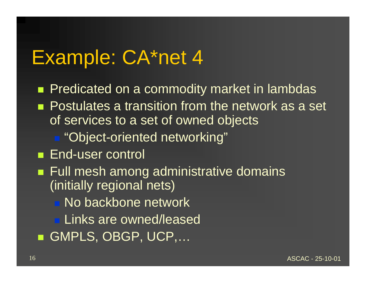#### Example: CA\*net 4

**Predicated on a commodity market in lambdas Postulates a transition from the network as a set** of services to a set of owned objects ■ "Object-oriented networking" ■ End-user control ■ Full mesh among administrative domains (initially regional nets) **No backbone network ELinks are owned/leased** ■ GMPLS, OBGP, UCP,...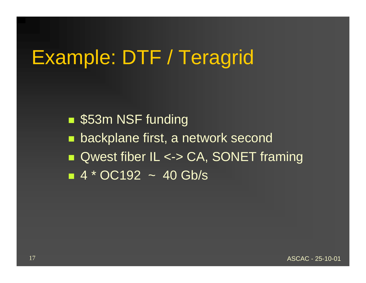# Example: DTF / Teragrid

■ \$53m NSF funding **E** backplane first, a network second ■ Qwest fiber IL <-> CA, SONET framing  $\blacksquare$  4  $*$  OC192  $\thicksim$  40 Gb/s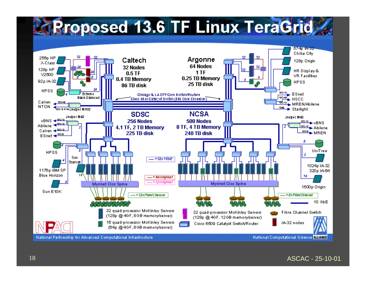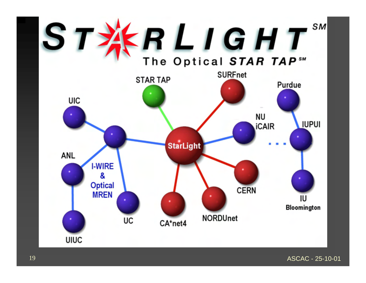

ASCAC - 25-10-01